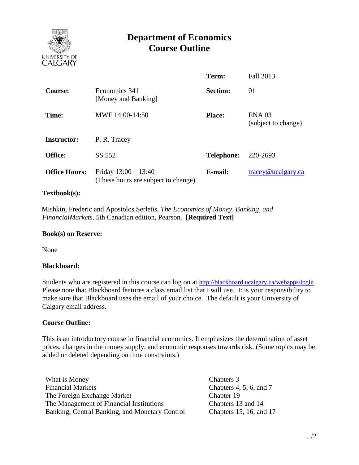

# **Department of Economics Course Outline**

|                      |                                                               | Term:             | Fall 2013                                |
|----------------------|---------------------------------------------------------------|-------------------|------------------------------------------|
| <b>Course:</b>       | Economics 341<br>[Money and Banking]                          | <b>Section:</b>   | 01                                       |
| Time:                | MWF 14:00-14:50                                               | <b>Place:</b>     | ENA <sub>03</sub><br>(subject to change) |
| <b>Instructor:</b>   | P. R. Tracey                                                  |                   |                                          |
| Office:              | SS 552                                                        | <b>Telephone:</b> | 220-2693                                 |
| <b>Office Hours:</b> | Friday $13:00 - 13:40$<br>(These hours are subject to change) | E-mail:           | $trace\$ <sub>@ucalgary.ca</sub>         |

### **Textbook(s):**

 Mishkin, Frederic and Apostolos Serletis, *The Economics of Money, Banking, and FinancialMarkets*. 5th Canadian edition, Pearson. **[Required Text]**

#### **Book(s) on Reserve:**

None

#### **Blackboard:**

Students who are registered in this course can log on at <http://blackboard.ucalgary.ca/webapps/login> Please note that Blackboard features a class email list that I will use. It is your responsibility to make sure that Blackboard uses the email of your choice. The default is your University of Calgary email address.

#### **Course Outline:**

This is an introductory course in financial economics. It emphasizes the determination of asset prices, changes in the money supply, and economic responses towards risk. (Some topics may be added or deleted depending on time constraints.)

What is Money Chapters 3 Financial Markets Chapters 4, 5, 6, and 7 The Foreign Exchange Market The Management of Financial Institutions Banking, Central Banking, and Monetary Control

Chapter 19 Chapters 13 and 14 Chapters 15, 16, and 17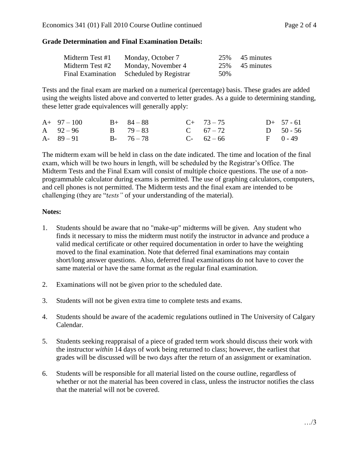## **Grade Determination and Final Examination Details:**

| Midterm Test #1 | Monday, October 7                        |     | 25% 45 minutes |
|-----------------|------------------------------------------|-----|----------------|
| Midterm Test #2 | Monday, November 4                       |     | 25% 45 minutes |
|                 | Final Examination Scheduled by Registrar | 50% |                |

Tests and the final exam are marked on a numerical (percentage) basis. These grades are added using the weights listed above and converted to letter grades. As a guide to determining standing, these letter grade equivalences will generally apply:

| $A+97-100$    | $B+ 84-88$    | $C+ 73-75$  | $D+ 57 - 61$ |
|---------------|---------------|-------------|--------------|
| A $92 - 96$   | $B = 79 - 83$ | C $67 - 72$ | D $50 - 56$  |
| $A - 89 - 91$ | $B - 76 - 78$ | $C-62-66$   | $F = 0 - 49$ |

The midterm exam will be held in class on the date indicated. The time and location of the final exam, which will be two hours in length, will be scheduled by the Registrar's Office. The Midterm Tests and the Final Exam will consist of multiple choice questions. The use of a nonprogrammable calculator during exams is permitted. The use of graphing calculators, computers, and cell phones is not permitted. The Midterm tests and the final exam are intended to be challenging (they are "*tests"* of your understanding of the material).

## **Notes:**

- 1. Students should be aware that no "make-up" midterms will be given. Any student who finds it necessary to miss the midterm must notify the instructor in advance and produce a valid medical certificate or other required documentation in order to have the weighting moved to the final examination. Note that deferred final examinations may contain short/long answer questions. Also, deferred final examinations do not have to cover the same material or have the same format as the regular final examination.
- 2. Examinations will not be given prior to the scheduled date.
- 3. Students will not be given extra time to complete tests and exams.
- 4. Students should be aware of the academic regulations outlined in The University of Calgary Calendar.
- 5. Students seeking reappraisal of a piece of graded term work should discuss their work with the instructor *within* 14 days of work being returned to class; however, the earliest that grades will be discussed will be two days after the return of an assignment or examination.
- 6. Students will be responsible for all material listed on the course outline, regardless of whether or not the material has been covered in class, unless the instructor notifies the class that the material will not be covered.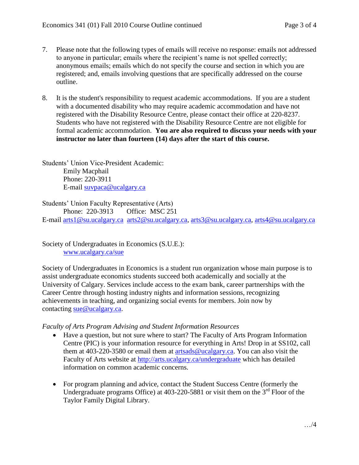- 7. Please note that the following types of emails will receive no response: emails not addressed to anyone in particular; emails where the recipient's name is not spelled correctly; anonymous emails; emails which do not specify the course and section in which you are registered; and, emails involving questions that are specifically addressed on the course outline.
- 8. It is the student's responsibility to request academic accommodations. If you are a student with a documented disability who may require academic accommodation and have not registered with the Disability Resource Centre, please contact their office at 220-8237. Students who have not registered with the Disability Resource Centre are not eligible for formal academic accommodation. **You are also required to discuss your needs with your instructor no later than fourteen (14) days after the start of this course.**

Students' Union Vice-President Academic: Emily Macphail Phone: 220-3911 E-mail [suvpaca@ucalgary.ca](mailto:subpaca@ucalgary.ca)

Students' Union Faculty Representative (Arts)

Phone: 220-3913 Office: MSC 251 E-mail [arts1@su.ucalgary.ca](mailto:arts1@su.ucalgary.ca) [arts2@su.ucalgary.ca,](mailto:arts2@su.ucalgary.ca) [arts3@su.ucalgary.ca,](mailto:arts3@su.ucalgary.ca) [arts4@su.ucalgary.ca](mailto:arts4@su.ucalgary.ca)

Society of Undergraduates in Economics (S.U.E.): [www.ucalgary.ca/sue](http://www.fp.ucalgary.ca/econ)

Society of Undergraduates in Economics is a student run organization whose main purpose is to assist undergraduate economics students succeed both academically and socially at the University of Calgary. Services include access to the exam bank, career partnerships with the Career Centre through hosting industry nights and information sessions, recognizing achievements in teaching, and organizing social events for members. Join now by contacting [sue@ucalgary.ca.](mailto:sue@ucalgary.ca)

## *Faculty of Arts Program Advising and Student Information Resources*

- Have a question, but not sure where to start? The Faculty of Arts Program Information Centre (PIC) is your information resource for everything in Arts! Drop in at SS102, call them at 403-220-3580 or email them at [artsads@ucalgary.ca.](mailto:artsads@ucalgary.ca) You can also visit the Faculty of Arts website at<http://arts.ucalgary.ca/undergraduate> which has detailed information on common academic concerns.
- For program planning and advice, contact the Student Success Centre (formerly the Undergraduate programs Office) at  $403-220-5881$  or visit them on the  $3<sup>rd</sup>$  Floor of the Taylor Family Digital Library.